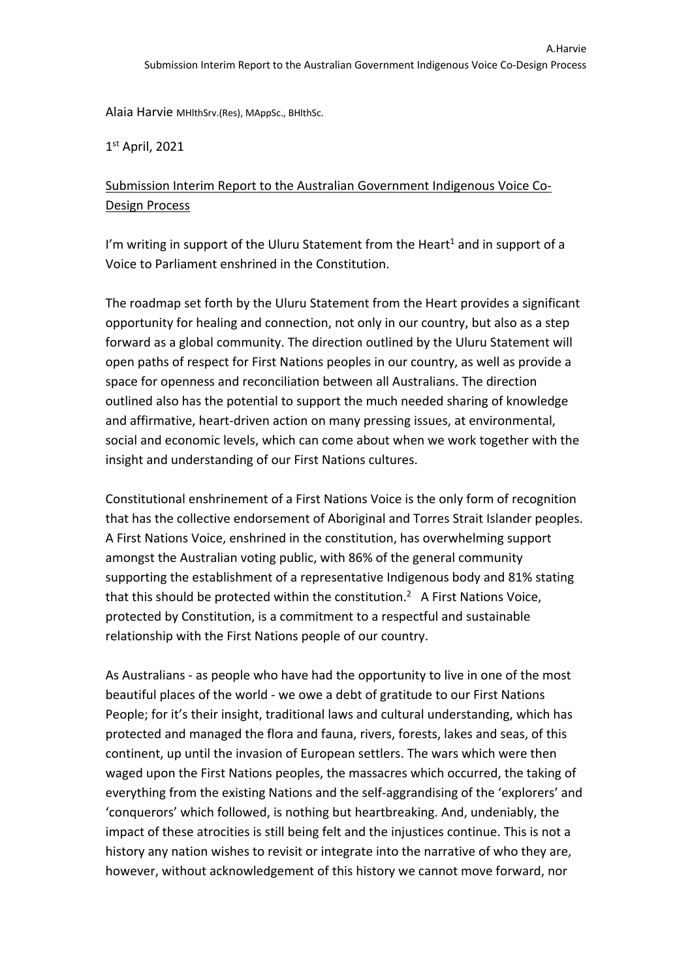Alaia Harvie MHlthSrv.(Res), MAppSc., BHlthSc.

 $1<sup>st</sup>$  April, 2021

## Submission Interim Report to the Australian Government Indigenous Voice Co-Design Process

I'm writing in support of the Uluru Statement from the Heart<sup>1</sup> and in support of a Voice to Parliament enshrined in the Constitution.

The roadmap set forth by the Uluru Statement from the Heart provides a significant opportunity for healing and connection, not only in our country, but also as a step forward as a global community. The direction outlined by the Uluru Statement will open paths of respect for First Nations peoples in our country, as well as provide a space for openness and reconciliation between all Australians. The direction outlined also has the potential to support the much needed sharing of knowledge and affirmative, heart-driven action on many pressing issues, at environmental, social and economic levels, which can come about when we work together with the insight and understanding of our First Nations cultures.

Constitutional enshrinement of a First Nations Voice is the only form of recognition that has the collective endorsement of Aboriginal and Torres Strait Islander peoples. A First Nations Voice, enshrined in the constitution, has overwhelming support amongst the Australian voting public, with 86% of the general community supporting the establishment of a representative Indigenous body and 81% stating that this should be protected within the constitution.<sup>2</sup> A First Nations Voice, protected by Constitution, is a commitment to a respectful and sustainable relationship with the First Nations people of our country.

As Australians - as people who have had the opportunity to live in one of the most beautiful places of the world - we owe a debt of gratitude to our First Nations People; for it's their insight, traditional laws and cultural understanding, which has protected and managed the flora and fauna, rivers, forests, lakes and seas, of this continent, up until the invasion of European settlers. The wars which were then waged upon the First Nations peoples, the massacres which occurred, the taking of everything from the existing Nations and the self-aggrandising of the 'explorers' and 'conquerors' which followed, is nothing but heartbreaking. And, undeniably, the impact of these atrocities is still being felt and the injustices continue. This is not a history any nation wishes to revisit or integrate into the narrative of who they are, however, without acknowledgement of this history we cannot move forward, nor